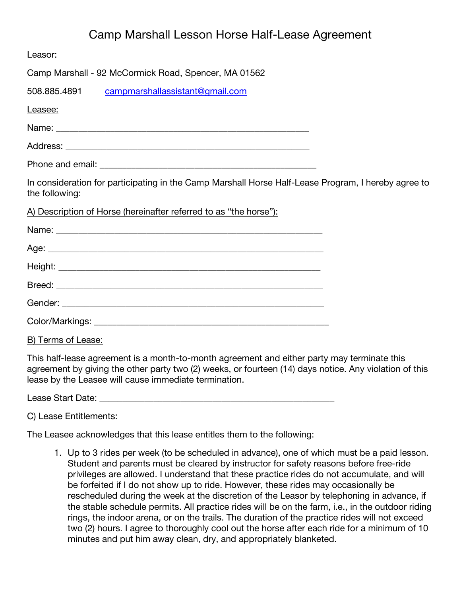# Camp Marshall Lesson Horse Half-Lease Agreement

| Leasor:                                                                                                               |  |
|-----------------------------------------------------------------------------------------------------------------------|--|
| Camp Marshall - 92 McCormick Road, Spencer, MA 01562                                                                  |  |
| 508.885.4891 campmarshallassistant@gmail.com                                                                          |  |
| Leasee:                                                                                                               |  |
|                                                                                                                       |  |
|                                                                                                                       |  |
|                                                                                                                       |  |
| In consideration for participating in the Camp Marshall Horse Half-Lease Program, I hereby agree to<br>the following: |  |
| A) Description of Horse (hereinafter referred to as "the horse"):                                                     |  |
|                                                                                                                       |  |
|                                                                                                                       |  |
|                                                                                                                       |  |
|                                                                                                                       |  |
|                                                                                                                       |  |
|                                                                                                                       |  |
| B) Terms of Lease:                                                                                                    |  |
|                                                                                                                       |  |

This half-lease agreement is a month-to-month agreement and either party may terminate this agreement by giving the other party two (2) weeks, or fourteen (14) days notice. Any violation of this lease by the Leasee will cause immediate termination.

Lease Start Date: \_\_\_\_\_\_\_\_\_\_\_\_\_\_\_\_\_\_\_\_\_\_\_\_\_\_\_\_\_\_\_\_\_\_\_\_\_\_\_\_\_\_\_\_\_\_\_\_\_\_\_\_

C) Lease Entitlements:

The Leasee acknowledges that this lease entitles them to the following:

1. Up to 3 rides per week (to be scheduled in advance), one of which must be a paid lesson. Student and parents must be cleared by instructor for safety reasons before free-ride privileges are allowed. I understand that these practice rides do not accumulate, and will be forfeited if I do not show up to ride. However, these rides may occasionally be rescheduled during the week at the discretion of the Leasor by telephoning in advance, if the stable schedule permits. All practice rides will be on the farm, i.e., in the outdoor riding rings, the indoor arena, or on the trails. The duration of the practice rides will not exceed two (2) hours. I agree to thoroughly cool out the horse after each ride for a minimum of 10 minutes and put him away clean, dry, and appropriately blanketed.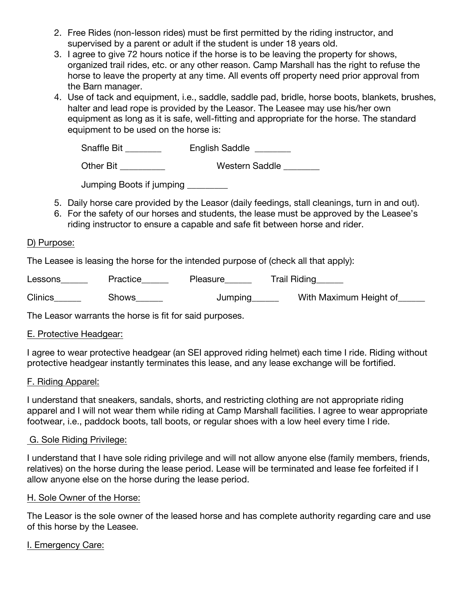- 2. Free Rides (non-lesson rides) must be first permitted by the riding instructor, and supervised by a parent or adult if the student is under 18 years old.
- 3. I agree to give 72 hours notice if the horse is to be leaving the property for shows, organized trail rides, etc. or any other reason. Camp Marshall has the right to refuse the horse to leave the property at any time. All events off property need prior approval from the Barn manager.
- 4. Use of tack and equipment, i.e., saddle, saddle pad, bridle, horse boots, blankets, brushes, halter and lead rope is provided by the Leasor. The Leasee may use his/her own equipment as long as it is safe, well-fitting and appropriate for the horse. The standard equipment to be used on the horse is:

| <b>Snaffle Bit</b> | <b>English Saddle</b> |
|--------------------|-----------------------|
|--------------------|-----------------------|

| Other Bit | <b>Western Saddle</b> |
|-----------|-----------------------|
|-----------|-----------------------|

| Jumping Boots if jumping |  |  |
|--------------------------|--|--|
|--------------------------|--|--|

- 5. Daily horse care provided by the Leasor (daily feedings, stall cleanings, turn in and out).
- 6. For the safety of our horses and students, the lease must be approved by the Leasee's riding instructor to ensure a capable and safe fit between horse and rider.

#### D) Purpose:

The Leasee is leasing the horse for the intended purpose of (check all that apply):

Lessons\_\_\_\_\_\_\_ Practice\_\_\_\_\_\_ Pleasure\_\_\_\_\_ Trail Riding\_\_\_\_\_

Clinics\_\_\_\_\_\_\_ Shows\_\_\_\_\_\_ Jumping\_\_\_\_\_ With Maximum Height of\_\_\_\_\_

The Leasor warrants the horse is fit for said purposes.

# E. Protective Headgear:

I agree to wear protective headgear (an SEI approved riding helmet) each time I ride. Riding without protective headgear instantly terminates this lease, and any lease exchange will be fortified.

# F. Riding Apparel:

I understand that sneakers, sandals, shorts, and restricting clothing are not appropriate riding apparel and I will not wear them while riding at Camp Marshall facilities. I agree to wear appropriate footwear, i.e., paddock boots, tall boots, or regular shoes with a low heel every time I ride.

# G. Sole Riding Privilege:

I understand that I have sole riding privilege and will not allow anyone else (family members, friends, relatives) on the horse during the lease period. Lease will be terminated and lease fee forfeited if I allow anyone else on the horse during the lease period.

#### H. Sole Owner of the Horse:

The Leasor is the sole owner of the leased horse and has complete authority regarding care and use of this horse by the Leasee.

# I. Emergency Care: